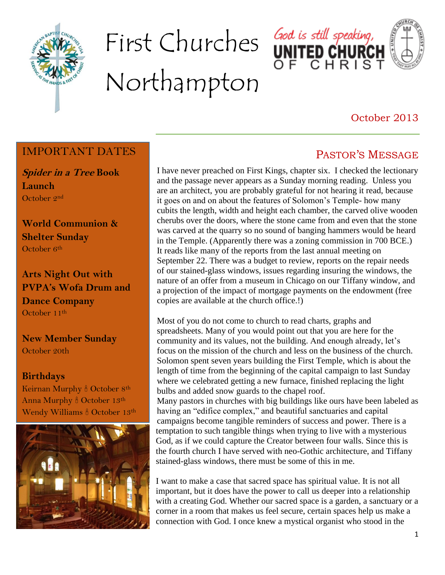

# First Churches God is still speaking, Northampton





## October 2013

PASTOR'S MESSAGE

### IMPORTANT DATES

**Spider in a Tree Book Launch** October 2nd

**World Communion & Shelter Sunday** October 6<sup>th</sup>

**Arts Night Out with PVPA's Wofa Drum and Dance Company** October 11th

**New Member Sunday** October 20th

#### **Birthdays**

Keirnan Murphy & October 8th Anna Murphy <sup>8</sup> October 13<sup>th</sup> Wendy Williams & October 13th



I have never preached on First Kings, chapter six. I checked the lectionary and the passage never appears as a Sunday morning reading. Unless you are an architect, you are probably grateful for not hearing it read, because it goes on and on about the features of Solomon's Temple- how many cubits the length, width and height each chamber, the carved olive wooden cherubs over the doors, where the stone came from and even that the stone was carved at the quarry so no sound of banging hammers would be heard in the Temple. (Apparently there was a zoning commission in 700 BCE.) It reads like many of the reports from the last annual meeting on September 22. There was a budget to review, reports on the repair needs of our stained-glass windows, issues regarding insuring the windows, the nature of an offer from a museum in Chicago on our Tiffany window, and a projection of the impact of mortgage payments on the endowment (free copies are available at the church office.!)

Most of you do not come to church to read charts, graphs and spreadsheets. Many of you would point out that you are here for the community and its values, not the building. And enough already, let's focus on the mission of the church and less on the business of the church. Solomon spent seven years building the First Temple, which is about the length of time from the beginning of the capital campaign to last Sunday where we celebrated getting a new furnace, finished replacing the light bulbs and added snow guards to the chapel roof.

Many pastors in churches with big buildings like ours have been labeled as having an "edifice complex," and beautiful sanctuaries and capital campaigns become tangible reminders of success and power. There is a temptation to such tangible things when trying to live with a mysterious God, as if we could capture the Creator between four walls. Since this is the fourth church I have served with neo-Gothic architecture, and Tiffany stained-glass windows, there must be some of this in me.

I want to make a case that sacred space has spiritual value. It is not all important, but it does have the power to call us deeper into a relationship with a creating God. Whether our sacred space is a garden, a sanctuary or a corner in a room that makes us feel secure, certain spaces help us make a connection with God. I once knew a mystical organist who stood in the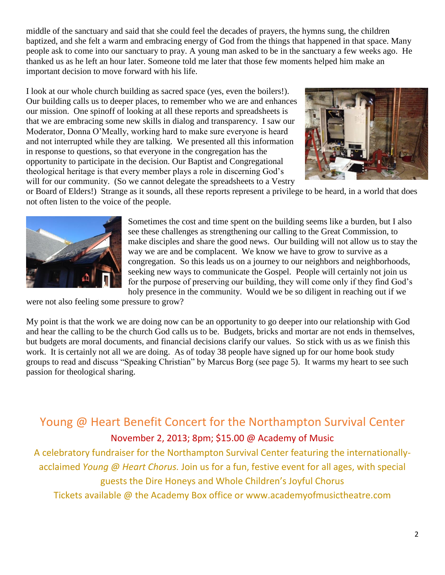middle of the sanctuary and said that she could feel the decades of prayers, the hymns sung, the children baptized, and she felt a warm and embracing energy of God from the things that happened in that space. Many people ask to come into our sanctuary to pray. A young man asked to be in the sanctuary a few weeks ago. He thanked us as he left an hour later. Someone told me later that those few moments helped him make an important decision to move forward with his life.

I look at our whole church building as sacred space (yes, even the boilers!). Our building calls us to deeper places, to remember who we are and enhances our mission. One spinoff of looking at all these reports and spreadsheets is that we are embracing some new skills in dialog and transparency. I saw our Moderator, Donna O'Meally, working hard to make sure everyone is heard and not interrupted while they are talking. We presented all this information in response to questions, so that everyone in the congregation has the opportunity to participate in the decision. Our Baptist and Congregational theological heritage is that every member plays a role in discerning God's will for our community. (So we cannot delegate the spreadsheets to a Vestry



or Board of Elders!) Strange as it sounds, all these reports represent a privilege to be heard, in a world that does not often listen to the voice of the people.



Sometimes the cost and time spent on the building seems like a burden, but I also see these challenges as strengthening our calling to the Great Commission, to make disciples and share the good news. Our building will not allow us to stay the way we are and be complacent. We know we have to grow to survive as a congregation. So this leads us on a journey to our neighbors and neighborhoods, seeking new ways to communicate the Gospel. People will certainly not join us for the purpose of preserving our building, they will come only if they find God's holy presence in the community. Would we be so diligent in reaching out if we

were not also feeling some pressure to grow?

My point is that the work we are doing now can be an opportunity to go deeper into our relationship with God and hear the calling to be the church God calls us to be. Budgets, bricks and mortar are not ends in themselves, but budgets are moral documents, and financial decisions clarify our values. So stick with us as we finish this work. It is certainly not all we are doing. As of today 38 people have signed up for our home book study groups to read and discuss "Speaking Christian" by Marcus Borg (see page 5). It warms my heart to see such passion for theological sharing.

Young @ Heart Benefit Concert for the Northampton Survival Center November 2, 2013; 8pm; \$15.00 @ Academy of Music

A celebratory fundraiser for the Northampton Survival Center featuring the internationallyacclaimed *Young @ Heart Chorus.* Join us for a fun, festive event for all ages, with special guests the Dire Honeys and Whole Children's Joyful Chorus

Tickets available @ the Academy Box office or www.academyofmusictheatre.com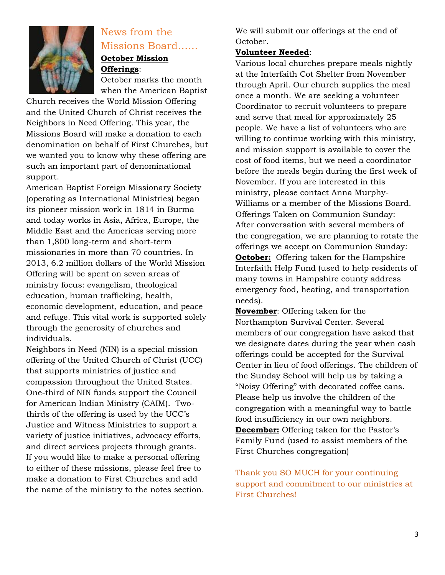

## News from the Missions Board……

#### **October Mission Offerings**:

October marks the month when the American Baptist

Church receives the World Mission Offering and the United Church of Christ receives the Neighbors in Need Offering. This year, the Missions Board will make a donation to each denomination on behalf of First Churches, but we wanted you to know why these offering are such an important part of denominational support.

American Baptist Foreign Missionary Society (operating as International Ministries) began its pioneer mission work in 1814 in Burma and today works in Asia, Africa, Europe, the Middle East and the Americas serving more than 1,800 long-term and short-term missionaries in more than 70 countries. In 2013, 6.2 million dollars of the World Mission Offering will be spent on seven areas of ministry focus: evangelism, theological education, human trafficking, health, economic development, education, and peace and refuge. This vital work is supported solely through the generosity of churches and individuals.

Neighbors in Need (NIN) is a special mission offering of the United Church of Christ (UCC) that supports ministries of justice and compassion throughout the United States. One-third of NIN funds support the Council for American Indian Ministry (CAIM). Twothirds of the offering is used by the UCC's Justice and Witness Ministries to support a variety of justice initiatives, advocacy efforts, and direct services projects through grants. If you would like to make a personal offering to either of these missions, please feel free to make a donation to First Churches and add the name of the ministry to the notes section. We will submit our offerings at the end of October.

#### **Volunteer Needed**:

Various local churches prepare meals nightly at the Interfaith Cot Shelter from November through April. Our church supplies the meal once a month. We are seeking a volunteer Coordinator to recruit volunteers to prepare and serve that meal for approximately 25 people. We have a list of volunteers who are willing to continue working with this ministry, and mission support is available to cover the cost of food items, but we need a coordinator before the meals begin during the first week of November. If you are interested in this ministry, please contact Anna Murphy-Williams or a member of the Missions Board. Offerings Taken on Communion Sunday: After conversation with several members of the congregation, we are planning to rotate the offerings we accept on Communion Sunday: **October:** Offering taken for the Hampshire Interfaith Help Fund (used to help residents of many towns in Hampshire county address emergency food, heating, and transportation needs).

**November**: Offering taken for the Northampton Survival Center. Several members of our congregation have asked that we designate dates during the year when cash offerings could be accepted for the Survival Center in lieu of food offerings. The children of the Sunday School will help us by taking a "Noisy Offering" with decorated coffee cans. Please help us involve the children of the congregation with a meaningful way to battle food insufficiency in our own neighbors. **December:** Offering taken for the Pastor's Family Fund (used to assist members of the First Churches congregation)

Thank you SO MUCH for your continuing support and commitment to our ministries at First Churches!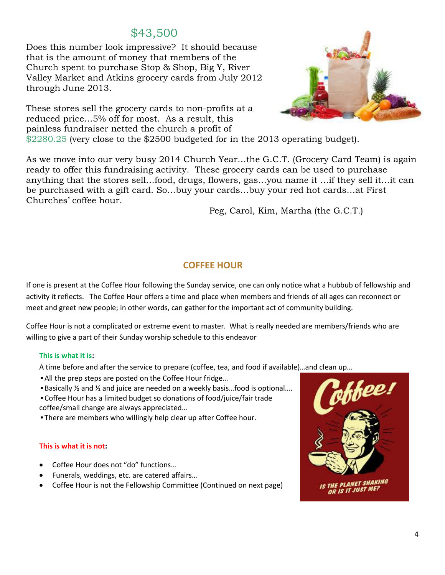## \$43,500

Does this number look impressive? It should because that is the amount of money that members of the Church spent to purchase Stop & Shop, Big Y, River Valley Market and Atkins grocery cards from July 2012 through June 2013.

These stores sell the grocery cards to non-profits at a reduced price…5% off for most. As a result, this painless fundraiser netted the church a profit of



\$2280.25 (very close to the \$2500 budgeted for in the 2013 operating budget).

As we move into our very busy 2014 Church Year…the G.C.T. (Grocery Card Team) is again ready to offer this fundraising activity. These grocery cards can be used to purchase anything that the stores sell…food, drugs, flowers, gas…you name it …if they sell it…it can be purchased with a gift card. So…buy your cards…buy your red hot cards…at First Churches' coffee hour.

Peg, Carol, Kim, Martha (the G.C.T.)

#### **COFFEE HOUR**

If one is present at the Coffee Hour following the Sunday service, one can only notice what a hubbub of fellowship and activity it reflects. The Coffee Hour offers a time and place when members and friends of all ages can reconnect or meet and greet new people; in other words, can gather for the important act of community building.

Coffee Hour is not a complicated or extreme event to master. What is really needed are members/friends who are willing to give a part of their Sunday worship schedule to this endeavor

#### **This is what it is:**

A time before and after the service to prepare (coffee, tea, and food if available)…and clean up…

- *•*All the prep steps are posted on the Coffee Hour fridge…
- *•*Basically ½ and ½ and juice are needed on a weekly basis…food is optional….

*•*Coffee Hour has a limited budget so donations of food/juice/fair trade coffee/small change are always appreciated…

*•*There are members who willingly help clear up after Coffee hour.

#### **This is what it is not:**

- Coffee Hour does not "do" functions…
- Funerals, weddings, etc. are catered affairs…
- Coffee Hour is not the Fellowship Committee (Continued on next page)

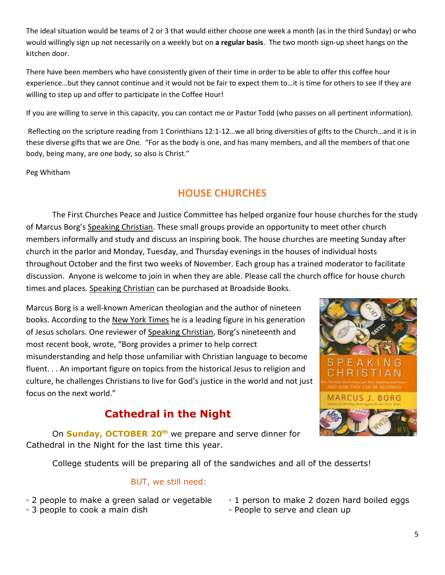The ideal situation would be teams of 2 or 3 that would either choose one week a month (as in the third Sunday) or who would willingly sign up not necessarily on a weekly but on **a regular basis**. The two month sign-up sheet hangs on the kitchen door.

There have been members who have consistently given of their time in order to be able to offer this coffee hour experience…but they cannot continue and it would not be fair to expect them to…it is time for others to see if they are willing to step up and offer to participate in the Coffee Hour!

If you are willing to serve in this capacity, you can contact me or Pastor Todd (who passes on all pertinent information).

Reflecting on the scripture reading from 1 Corinthians 12:1-12…we all bring diversities of gifts to the Church…and it is in these diverse gifts that we are One. "For as the body is one, and has many members, and all the members of that one body, being many, are one body, so also is Christ."

Peg Whitham

## **HOUSE CHURCHES**

The First Churches Peace and Justice Committee has helped organize four house churches for the study of Marcus Borg's Speaking Christian. These small groups provide an opportunity to meet other church members informally and study and discuss an inspiring book. The house churches are meeting Sunday after church in the parlor and Monday, Tuesday, and Thursday evenings in the houses of individual hosts throughout October and the first two weeks of November. Each group has a trained moderator to facilitate discussion. Anyone is welcome to join in when they are able. Please call the church office for house church times and places. Speaking Christian can be purchased at Broadside Books.

Marcus Borg is a well-known American theologian and the author of nineteen books. According to the New York Times he is a leading figure in his generation of Jesus scholars. One reviewer of Speaking Christian, Borg's nineteenth and most recent book, wrote, "Borg provides a primer to help correct misunderstanding and help those unfamiliar with Christian language to become fluent. . . An important figure on topics from the historical Jesus to religion and culture, he challenges Christians to live for God's justice in the world and not just focus on the next world."

## **Cathedral in the Night**



On **Sunday, OCTOBER 20th** we prepare and serve dinner for Cathedral in the Night for the last time this year.

College students will be preparing all of the sandwiches and all of the desserts!

#### BUT, we still need:

- 2 people to make a green salad or vegetable 。 1 person to make 2 dozen hard boiled eggs
- 3 people to cook a main dish 下eople to serve and clean up
- -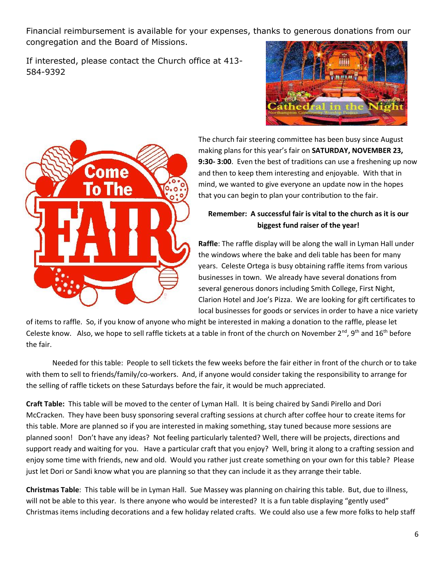Financial reimbursement is available for your expenses, thanks to generous donations from our congregation and the Board of Missions.

If interested, please contact the Church office at 413- 584-9392





The church fair steering committee has been busy since August making plans for this year's fair on **SATURDAY, NOVEMBER 23, 9:30- 3:00**. Even the best of traditions can use a freshening up now and then to keep them interesting and enjoyable. With that in mind, we wanted to give everyone an update now in the hopes that you can begin to plan your contribution to the fair.

#### **Remember: A successful fair is vital to the church as it is our biggest fund raiser of the year!**

**Raffle**: The raffle display will be along the wall in Lyman Hall under the windows where the bake and deli table has been for many years. Celeste Ortega is busy obtaining raffle items from various businesses in town. We already have several donations from several generous donors including Smith College, First Night, Clarion Hotel and Joe's Pizza. We are looking for gift certificates to local businesses for goods or services in order to have a nice variety

of items to raffle. So, if you know of anyone who might be interested in making a donation to the raffle, please let Celeste know. Also, we hope to sell raffle tickets at a table in front of the church on November  $2^{nd}$ , 9<sup>th</sup> and 16<sup>th</sup> before the fair.

Needed for this table: People to sell tickets the few weeks before the fair either in front of the church or to take with them to sell to friends/family/co-workers. And, if anyone would consider taking the responsibility to arrange for the selling of raffle tickets on these Saturdays before the fair, it would be much appreciated.

**Craft Table:** This table will be moved to the center of Lyman Hall. It is being chaired by Sandi Pirello and Dori McCracken. They have been busy sponsoring several crafting sessions at church after coffee hour to create items for this table. More are planned so if you are interested in making something, stay tuned because more sessions are planned soon! Don't have any ideas? Not feeling particularly talented? Well, there will be projects, directions and support ready and waiting for you. Have a particular craft that you enjoy? Well, bring it along to a crafting session and enjoy some time with friends, new and old. Would you rather just create something on your own for this table? Please just let Dori or Sandi know what you are planning so that they can include it as they arrange their table.

**Christmas Table**: This table will be in Lyman Hall. Sue Massey was planning on chairing this table. But, due to illness, will not be able to this year. Is there anyone who would be interested? It is a fun table displaying "gently used" Christmas items including decorations and a few holiday related crafts. We could also use a few more folks to help staff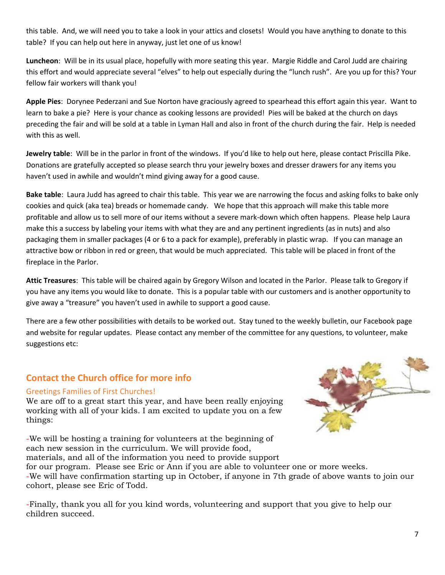this table. And, we will need you to take a look in your attics and closets! Would you have anything to donate to this table? If you can help out here in anyway, just let one of us know!

**Luncheon**: Will be in its usual place, hopefully with more seating this year. Margie Riddle and Carol Judd are chairing this effort and would appreciate several "elves" to help out especially during the "lunch rush". Are you up for this? Your fellow fair workers will thank you!

**Apple Pies**: Dorynee Pederzani and Sue Norton have graciously agreed to spearhead this effort again this year. Want to learn to bake a pie? Here is your chance as cooking lessons are provided! Pies will be baked at the church on days preceding the fair and will be sold at a table in Lyman Hall and also in front of the church during the fair. Help is needed with this as well.

**Jewelry table**: Will be in the parlor in front of the windows. If you'd like to help out here, please contact Priscilla Pike. Donations are gratefully accepted so please search thru your jewelry boxes and dresser drawers for any items you haven't used in awhile and wouldn't mind giving away for a good cause.

**Bake table**: Laura Judd has agreed to chair this table. This year we are narrowing the focus and asking folks to bake only cookies and quick (aka tea) breads or homemade candy. We hope that this approach will make this table more profitable and allow us to sell more of our items without a severe mark-down which often happens. Please help Laura make this a success by labeling your items with what they are and any pertinent ingredients (as in nuts) and also packaging them in smaller packages (4 or 6 to a pack for example), preferably in plastic wrap. If you can manage an attractive bow or ribbon in red or green, that would be much appreciated. This table will be placed in front of the fireplace in the Parlor.

**Attic Treasures**: This table will be chaired again by Gregory Wilson and located in the Parlor. Please talk to Gregory if you have any items you would like to donate. This is a popular table with our customers and is another opportunity to give away a "treasure" you haven't used in awhile to support a good cause.

There are a few other possibilities with details to be worked out. Stay tuned to the weekly bulletin, our Facebook page and website for regular updates. Please contact any member of the committee for any questions, to volunteer, make suggestions etc:

#### **Contact the Church office for more info**

#### Greetings Families of First Churches!

We are off to a great start this year, and have been really enjoying working with all of your kids. I am excited to update you on a few things:

-We will be hosting a training for volunteers at the beginning of each new session in the curriculum. We will provide food, materials, and all of the information you need to provide support



for our program. Please see Eric or Ann if you are able to volunteer one or more weeks. -We will have confirmation starting up in October, if anyone in 7th grade of above wants to join our cohort, please see Eric of Todd.

-Finally, thank you all for you kind words, volunteering and support that you give to help our children succeed.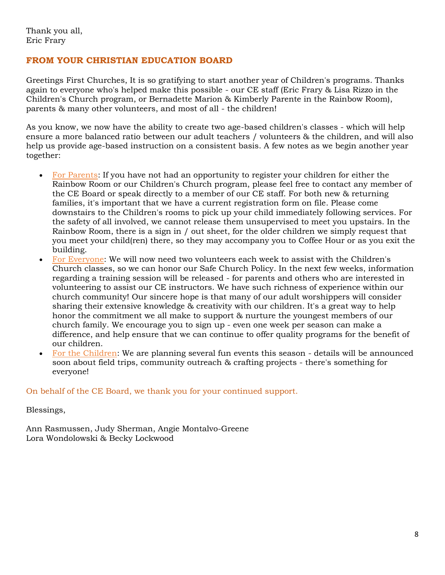#### **FROM YOUR CHRISTIAN EDUCATION BOARD**

Greetings First Churches, It is so gratifying to start another year of Children's programs. Thanks again to everyone who's helped make this possible - our CE staff (Eric Frary & Lisa Rizzo in the Children's Church program, or Bernadette Marion & Kimberly Parente in the Rainbow Room), parents & many other volunteers, and most of all - the children!

As you know, we now have the ability to create two age-based children's classes - which will help ensure a more balanced ratio between our adult teachers / volunteers & the children, and will also help us provide age-based instruction on a consistent basis. A few notes as we begin another year together:

- For Parents: If you have not had an opportunity to register your children for either the Rainbow Room or our Children's Church program, please feel free to contact any member of the CE Board or speak directly to a member of our CE staff. For both new & returning families, it's important that we have a current registration form on file. Please come downstairs to the Children's rooms to pick up your child immediately following services. For the safety of all involved, we cannot release them unsupervised to meet you upstairs. In the Rainbow Room, there is a sign in / out sheet, for the older children we simply request that you meet your child(ren) there, so they may accompany you to Coffee Hour or as you exit the building.
- For Everyone: We will now need two volunteers each week to assist with the Children's Church classes, so we can honor our Safe Church Policy. In the next few weeks, information regarding a training session will be released - for parents and others who are interested in volunteering to assist our CE instructors. We have such richness of experience within our church community! Our sincere hope is that many of our adult worshippers will consider sharing their extensive knowledge & creativity with our children. It's a great way to help honor the commitment we all make to support & nurture the youngest members of our church family. We encourage you to sign up - even one week per season can make a difference, and help ensure that we can continue to offer quality programs for the benefit of our children.
- For the Children: We are planning several fun events this season details will be announced soon about field trips, community outreach & crafting projects - there's something for everyone!

#### On behalf of the CE Board, we thank you for your continued support.

Blessings,

Ann Rasmussen, Judy Sherman, Angie Montalvo-Greene Lora Wondolowski & Becky Lockwood